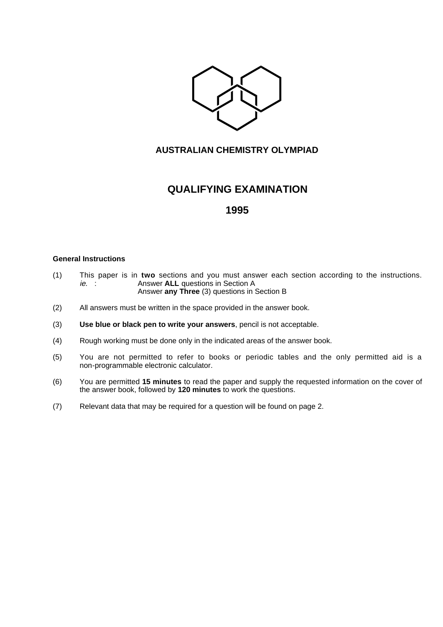

### **AUSTRALIAN CHEMISTRY OLYMPIAD**

# **QUALIFYING EXAMINATION**

## **1995**

#### **General Instructions**

- (1) This paper is in **two** sections and you must answer each section according to the instructions. Answer **ALL** questions in Section A Answer **any Three** (3) questions in Section B
- (2) All answers must be written in the space provided in the answer book.
- (3) **Use blue or black pen to write your answers**, pencil is not acceptable.
- (4) Rough working must be done only in the indicated areas of the answer book.
- (5) You are not permitted to refer to books or periodic tables and the only permitted aid is a non-programmable electronic calculator.
- (6) You are permitted **15 minutes** to read the paper and supply the requested information on the cover of the answer book, followed by **120 minutes** to work the questions.
- (7) Relevant data that may be required for a question will be found on page 2.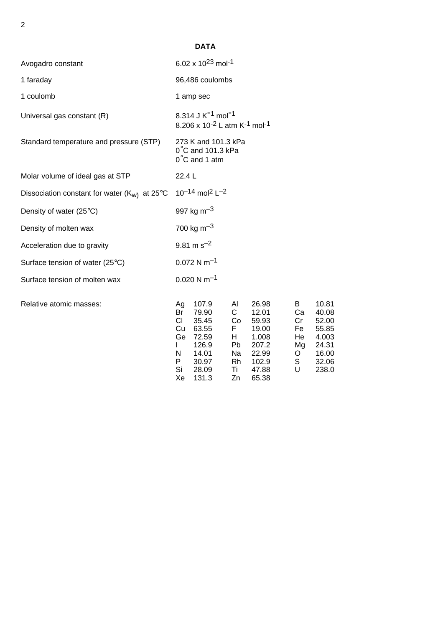| . .<br>I<br>i<br>. . |  |  |  |
|----------------------|--|--|--|
|                      |  |  |  |
|                      |  |  |  |
|                      |  |  |  |
|                      |  |  |  |

# **DATA**

| Avogadro constant                               | 6.02 x $10^{23}$ mol <sup>-1</sup>                                                                                                                                                                                                                                                                                                                                                                                                                       |  |  |  |  |
|-------------------------------------------------|----------------------------------------------------------------------------------------------------------------------------------------------------------------------------------------------------------------------------------------------------------------------------------------------------------------------------------------------------------------------------------------------------------------------------------------------------------|--|--|--|--|
| 1 faraday                                       | 96,486 coulombs                                                                                                                                                                                                                                                                                                                                                                                                                                          |  |  |  |  |
| 1 coulomb                                       | 1 amp sec                                                                                                                                                                                                                                                                                                                                                                                                                                                |  |  |  |  |
| Universal gas constant (R)                      | 8.314 J K <sup>-1</sup> mol <sup>-1</sup><br>8.206 x 10 <sup>-2</sup> L atm K <sup>-1</sup> mol <sup>-1</sup>                                                                                                                                                                                                                                                                                                                                            |  |  |  |  |
| Standard temperature and pressure (STP)         | 273 K and 101.3 kPa<br>$0^{\circ}$ C and 101.3 kPa<br>$0^{\circ}$ C and 1 atm                                                                                                                                                                                                                                                                                                                                                                            |  |  |  |  |
| Molar volume of ideal gas at STP                | 22.4L                                                                                                                                                                                                                                                                                                                                                                                                                                                    |  |  |  |  |
| Dissociation constant for water $(K_W)$ at 25°C | $10^{-14}$ mol <sup>2</sup> L <sup>-2</sup>                                                                                                                                                                                                                                                                                                                                                                                                              |  |  |  |  |
| Density of water $(25^{\circ}C)$                | 997 kg m <sup><math>-3</math></sup>                                                                                                                                                                                                                                                                                                                                                                                                                      |  |  |  |  |
| Density of molten wax                           | 700 kg m <sup>-3</sup>                                                                                                                                                                                                                                                                                                                                                                                                                                   |  |  |  |  |
| Acceleration due to gravity                     | $9.81 \text{ m s}^{-2}$                                                                                                                                                                                                                                                                                                                                                                                                                                  |  |  |  |  |
| Surface tension of water (25°C)                 | $0.072$ N m <sup>-1</sup>                                                                                                                                                                                                                                                                                                                                                                                                                                |  |  |  |  |
| Surface tension of molten wax                   | $0.020$ N m <sup>-1</sup>                                                                                                                                                                                                                                                                                                                                                                                                                                |  |  |  |  |
| Relative atomic masses:                         | 107.9<br>Al<br>10.81<br>26.98<br>B<br>Ag<br>79.90<br>$\mathsf{C}$<br>12.01<br>Ca<br>40.08<br>Br<br>CI<br>35.45<br>52.00<br>Co<br>59.93<br>Cr<br>Cu<br>63.55<br>F.<br>19.00<br>Fe<br>55.85<br>Ge<br>72.59<br>1.008<br>H.<br>4.003<br>He<br>126.9<br>Pb<br>207.2<br>24.31<br>Mg<br>L<br>16.00<br>N<br>14.01<br>Na<br>22.99<br>O<br>S<br>30.97<br>Rh<br>P.<br>102.9<br>32.06<br>Si<br>$\cup$<br>28.09<br>Ti<br>47.88<br>238.0<br>Xe<br>131.3<br>Zn<br>65.38 |  |  |  |  |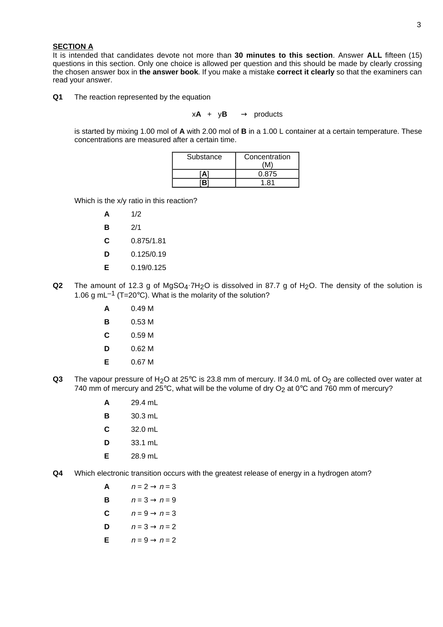#### 3

#### **SECTION A**

It is intended that candidates devote not more than **30 minutes to this section**. Answer **ALL** fifteen (15) questions in this section. Only one choice is allowed per question and this should be made by clearly crossing the chosen answer box in **the answer book**. If you make a mistake **correct it clearly** so that the examiners can read your answer.

#### **Q1** The reaction represented by the equation

 $xA + yB \longrightarrow$  products

is started by mixing 1.00 mol of **A** with 2.00 mol of **B** in a 1.00 L container at a certain temperature. These concentrations are measured after a certain time.

| Substance | Concentration |
|-----------|---------------|
|           | 0.875         |
| [R]       | 1 81          |

Which is the x/y ratio in this reaction?

- **A** 1/2
- **B** 2/1
- **C** 0.875/1.81
- **D** 0.125/0.19
- **E** 0.19/0.125
- **Q2** The amount of 12.3 g of MgSO<sub>4</sub>.7H<sub>2</sub>O is dissolved in 87.7 g of H<sub>2</sub>O. The density of the solution is 1.06 g mL $^{-1}$  (T=20°C). What is the molarity of the solution?
	- **A** 0.49 M
	- **B** 0.53 M
	- **C** 0.59 M
	- **D** 0.62 M
	- **E** 0.67 M
- **Q3** The vapour pressure of H<sub>2</sub>O at 25°C is 23.8 mm of mercury. If 34.0 mL of O<sub>2</sub> are collected over water at 740 mm of mercury and  $25^{\circ}$ C, what will be the volume of dry O<sub>2</sub> at 0°C and 760 mm of mercury?
	- **A** 29.4 mL
	- **B** 30.3 mL
	- **C** 32.0 mL
	- **D** 33.1 mL
	- **E** 28.9 mL
- **Q4** Which electronic transition occurs with the greatest release of energy in a hydrogen atom?

| A | $n = 2 \rightarrow n = 3$ |
|---|---------------------------|
| В | $n=3 \rightarrow n=9$     |

- **C**  $n = 9 \rightarrow n = 3$
- **D**  $n = 3 \rightarrow n = 2$
- **E**  $n = 9 \rightarrow n = 2$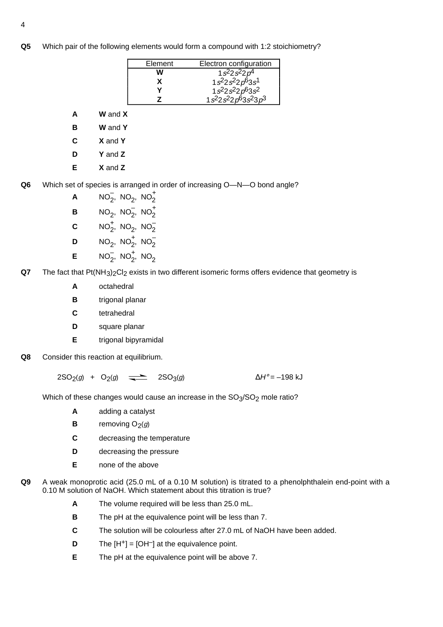**Q5** Which pair of the following elements would form a compound with 1:2 stoichiometry?

| Element | Electron configuration                                                          |
|---------|---------------------------------------------------------------------------------|
| W       | $1s^2 2s^2 2p^4$                                                                |
|         | $1s^{2}2s^{2}2p^{6}3s^{1}$                                                      |
|         | $1s^{2}2s^{2}2p^{6}3s^{2}$                                                      |
|         | 1s <sup>2</sup> 2s <sup>2</sup> 2p <sup>6</sup> 3s <sup>2</sup> 3p <sup>3</sup> |

- **A W** and **X**
- **B W** and **Y**
- **C X** and **Y**
- **D Y** and **Z**
- **E X** and **Z**
- **Q6** Which set of species is arranged in order of increasing O—N—O bond angle?
	- **A**  $NO_2^-, NO_2, NO_2^+$ **B**  $NO_2$ ,  $NO_2^-$ ,  $NO_2^+$ **C**  $NO_2^+$ ,  $NO_2$ ,  $NO_2^-$
	- **D**  $NO_2$ ,  $NO_2^+$ ,  $NO_2^-$
	- **E**  $NO_2^-, NO_2^+, NO_2$
- **Q7** The fact that Pt(NH<sub>3</sub>)<sub>2</sub>Cl<sub>2</sub> exists in two different isomeric forms offers evidence that geometry is
	- **A** octahedral
	- **B** trigonal planar
	- **C** tetrahedral
	- **D** square planar
	- **E** trigonal bipyramidal
- **Q8** Consider this reaction at equilibrium.

 $2SO_2(g) + O_2(g)$   $\longrightarrow$   $2SO_3(g)$   $\Delta H^{\circ} = -198$  kJ

Which of these changes would cause an increase in the  $SO<sub>3</sub>/SO<sub>2</sub>$  mole ratio?

- **A** adding a catalyst
- **B** removing  $O_2(g)$
- **C** decreasing the temperature
- **D** decreasing the pressure
- **E** none of the above
- **Q9** A weak monoprotic acid (25.0 mL of a 0.10 M solution) is titrated to a phenolphthalein end-point with a 0.10 M solution of NaOH. Which statement about this titration is true?
	- **A** The volume required will be less than 25.0 mL.
	- **B** The pH at the equivalence point will be less than 7.
	- **C** The solution will be colourless after 27.0 mL of NaOH have been added.
	- **D** The  $[H^+] = [OH^-]$  at the equivalence point.
	- **E** The pH at the equivalence point will be above 7.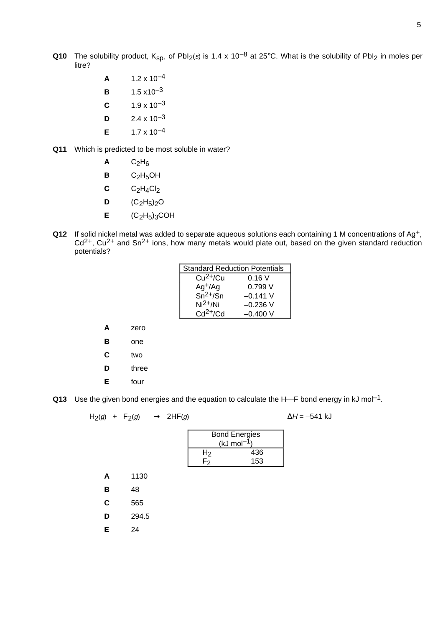- **Q10** The solubility product,  $K_{sp}$ , of PbI<sub>2</sub>(s) is 1.4 x 10<sup>-8</sup> at 25°C. What is the solubility of PbI<sub>2</sub> in moles per litre?
	- **A**  $1.2 \times 10^{-4}$
	- **B**  $1.5 \times 10^{-3}$
	- **C**  $1.9 \times 10^{-3}$
	- **D**  $2.4 \times 10^{-3}$
	- **E**  $1.7 \times 10^{-4}$
- **Q11** Which is predicted to be most soluble in water?
	- $A$   $C_2H_6$
	- **B** C<sub>2</sub>H<sub>5</sub>OH
	- $C$   $C_2H_4Cl_2$
	- **D**  $(C_2H_5)_{2}O$
	- $E$   $(C_2H_5)_3COH$
- **Q12** If solid nickel metal was added to separate aqueous solutions each containing 1 M concentrations of Ag+,  $Cd<sup>2+</sup>$ , Cu<sup>2+</sup> and Sn<sup>2+</sup> ions, how many metals would plate out, based on the given standard reduction potentials?

| <b>Standard Reduction Potentials</b> |            |  |
|--------------------------------------|------------|--|
| $Cu2+/Cu$                            | 0.16V      |  |
| $Ag^{+/Ag}$                          | 0.799 V    |  |
| $\overline{Sn^{2+/Sn}}$              | $-0.141$ V |  |
| $Ni2+/Ni$                            | $-0.236$ V |  |
| $Cd2+/Cd$                            | $-0.400V$  |  |

- **A** zero
- **B** one
- **C** two
- **D** three
- **E** four
- **Q13** Use the given bond energies and the equation to calculate the H—F bond energy in kJ mol<sup>-1</sup>.

$$
H_2(g) + F_2(g) \longrightarrow 2HF(g) \qquad \Delta H = -541 \text{ kJ}
$$

| <b>Bond Energies</b> |     |  |
|----------------------|-----|--|
| (kJ mol-             |     |  |
| H2                   | 436 |  |
|                      | 153 |  |

- **A** 1130 **B** 48 **C** 565 **D** 294.5
- **E** 24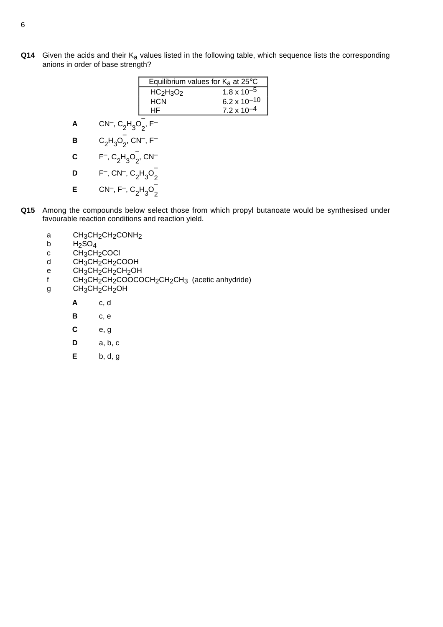**Q14** Given the acids and their K<sub>a</sub> values listed in the following table, which sequence lists the corresponding anions in order of base strength?

|   |                                         | Equilibrium values for $K_a$ at 25°C |                                                 |
|---|-----------------------------------------|--------------------------------------|-------------------------------------------------|
|   |                                         | $HC2H3O2$                            | $1.8 \times 10^{-5}$                            |
|   |                                         | <b>HCN</b>                           | $6.2 \times 10^{-10}$<br>7.2 x 10 <sup>-4</sup> |
|   |                                         | НF                                   |                                                 |
| А | $CN^{-}$ , $C_2H_3O_2$ , F <sup>-</sup> |                                      |                                                 |
| n |                                         | $\bigcap_{n=1}^{\infty}$             |                                                 |

- **B**  $C_2H_3O_2^ ^{-}_{2}$ , CN<sup>-</sup>, F<sup>-</sup> **C** F<sup>-</sup>,  $C_2H_3O_2^{-}$  $\frac{1}{2}$ , CN<sup>-1</sup>
- **D** F<sup>-</sup>, CN<sup>-</sup>, C<sub>2</sub>H<sub>3</sub>O<sub>2</sub> 2 **E** CN<sup>-</sup>, F<sup>-</sup>, C<sub>2</sub>H<sub>3</sub>O<sub>2</sub> 2
- **Q15** Among the compounds below select those from which propyl butanoate would be synthesised under favourable reaction conditions and reaction yield.
	- a  $CH_3CH_2CH_2COMH_2$ <br>b  $H_2SO_4$
	- b  $H_2SO_4$ <br>c CH<sub>3</sub>CH
	- $\overline{c}$  CH<sub>3</sub>CH<sub>2</sub>COCl<br>d CH<sub>3</sub>CH<sub>2</sub>CH<sub>2</sub>CH<sub>2</sub>C
	- d CH<sub>3</sub>CH<sub>2</sub>CH<sub>2</sub>COOH<br>e CH<sub>3</sub>CH<sub>2</sub>CH<sub>2</sub>CH<sub>2</sub>OH
	- e CH<sub>3</sub>CH<sub>2</sub>CH<sub>2</sub>CH<sub>2</sub>OH<br>f CH<sub>3</sub>CH<sub>2</sub>CH<sub>2</sub>COOCC
	- f CH3CH2CH2COOCOCH2CH2CH3 (acetic anhydride)<br>g CH3CH2CH2OH
	- CH<sub>3</sub>CH<sub>2</sub>CH<sub>2</sub>OH
		- **A** c, d
		- **B** c, e
		- **C** e, g
		- **D** a, b, c
		- **E** b, d, g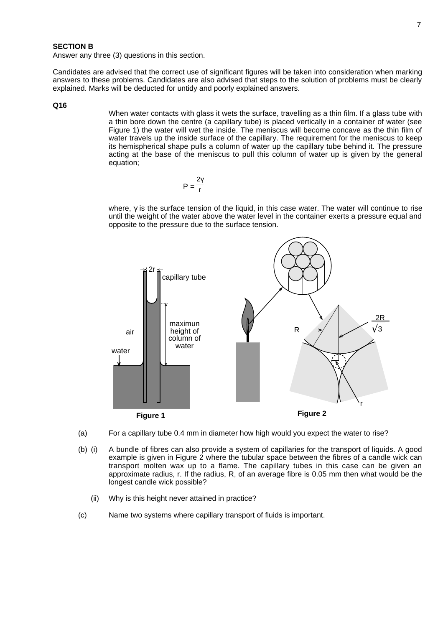#### **SECTION B**

Answer any three (3) questions in this section.

Candidates are advised that the correct use of significant figures will be taken into consideration when marking answers to these problems. Candidates are also advised that steps to the solution of problems must be clearly explained. Marks will be deducted for untidy and poorly explained answers.

#### **Q16**

When water contacts with glass it wets the surface, travelling as a thin film. If a glass tube with a thin bore down the centre (a capillary tube) is placed vertically in a container of water (see Figure 1) the water will wet the inside. The meniscus will become concave as the thin film of water travels up the inside surface of the capillary. The requirement for the meniscus to keep its hemispherical shape pulls a column of water up the capillary tube behind it. The pressure acting at the base of the meniscus to pull this column of water up is given by the general equation;

$$
P=\frac{2\gamma}{r}
$$

where, γ is the surface tension of the liquid, in this case water. The water will continue to rise until the weight of the water above the water level in the container exerts a pressure equal and opposite to the pressure due to the surface tension.



- (a) For a capillary tube 0.4 mm in diameter how high would you expect the water to rise?
- (b) (i) A bundle of fibres can also provide a system of capillaries for the transport of liquids. A good example is given in Figure 2 where the tubular space between the fibres of a candle wick can transport molten wax up to a flame. The capillary tubes in this case can be given an approximate radius, r. If the radius, R, of an average fibre is 0.05 mm then what would be the longest candle wick possible?
	- (ii) Why is this height never attained in practice?
- (c) Name two systems where capillary transport of fluids is important.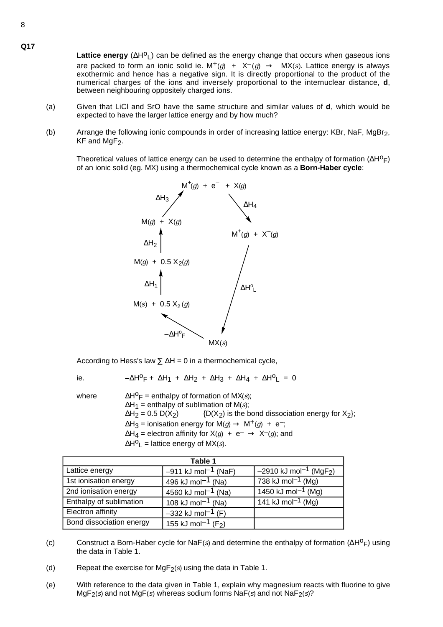**Lattice energy**  $(\Delta H^0)$  can be defined as the energy change that occurs when gaseous ions are packed to form an ionic solid ie.  $M^+(g)$  +  $X^-(g)$   $\rightarrow$   $MX(s)$ . Lattice energy is always exothermic and hence has a negative sign. It is directly proportional to the product of the numerical charges of the ions and inversely proportional to the internuclear distance, **d**, between neighbouring oppositely charged ions.

- (a) Given that LiCl and SrO have the same structure and similar values of **d**, which would be expected to have the larger lattice energy and by how much?
- (b) Arrange the following ionic compounds in order of increasing lattice energy: KBr, NaF, MgBr2,  $KF$  and MgF<sub>2</sub>.

Theoretical values of lattice energy can be used to determine the enthalpy of formation  $(\Delta H^0_F)$ of an ionic solid (eg. MX) using a thermochemical cycle known as a **Born-Haber cycle**:



According to Hess's law  $\Sigma \Delta H = 0$  in a thermochemical cycle,

ie.  $-\Delta H^0F + \Delta H_1 + \Delta H_2 + \Delta H_3 + \Delta H_4 + \Delta H^0L = 0$ 

where  $\Delta H^0F = \text{enthalpy of formation of MX(s)}$ ;  $\Delta H_1$  = enthalpy of sublimation of M(s);<br> $\Delta H_2$  = 0.5 D(X<sub>2</sub>) {D(X<sub>2</sub>) is the b  $(D(X_2)$  is the bond dissociation energy for  $X_2$ ;  $\Delta H_3$  = ionisation energy for  $M(g) \rightarrow M^+(g) + e^-$ ;  $\Delta H_4$  = electron affinity for  $X(g)$  +  $e^ \rightarrow$   $X^-(g)$ ; and  $\Delta H^O$ <sub>L</sub> = lattice energy of MX(s).

| Table 1                  |                                            |                                                         |  |
|--------------------------|--------------------------------------------|---------------------------------------------------------|--|
| Lattice energy           | $-911$ kJ mol <sup>-1</sup> (NaF)          | $-2910 \text{ kJ} \text{ mol}^{-1}$ (MgF <sub>2</sub> ) |  |
| 1st ionisation energy    | 496 kJ mol <sup>-1</sup> (Na)              | 738 kJ mol <sup>-1</sup> (Mg)                           |  |
| 2nd ionisation energy    | 4560 kJ mol <sup>-1</sup> (Na)             | 1450 kJ mol <sup>-1</sup> (Mg)                          |  |
| Enthalpy of sublimation  | 108 kJ mol <sup>-1</sup> (Na)              | 141 kJ mol <sup>-1</sup> (Mg)                           |  |
| Electron affinity        | $-332$ kJ mol <sup>-1</sup> (F)            |                                                         |  |
| Bond dissociation energy | 155 kJ mol <sup>-1</sup> (F <sub>2</sub> ) |                                                         |  |

- (c) Construct a Born-Haber cycle for NaF(s) and determine the enthalpy of formation  $(\Delta H^0F)$  using the data in Table 1.
- (d) Repeat the exercise for  $MgF_2(s)$  using the data in Table 1.
- (e) With reference to the data given in Table 1, explain why magnesium reacts with fluorine to give  $MgF_2(s)$  and not MgF(s) whereas sodium forms NaF(s) and not NaF $_2(s)$ ?

**Q17**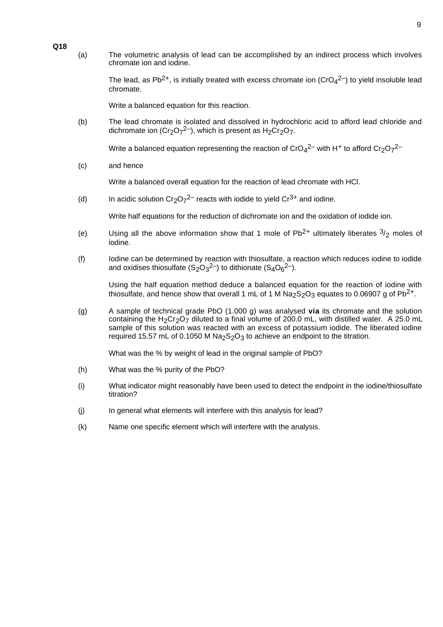(a) The volumetric analysis of lead can be accomplished by an indirect process which involves chromate ion and iodine.

> The lead, as Pb<sup>2+</sup>, is initially treated with excess chromate ion ( $CrO<sub>4</sub><sup>2–</sup>$ ) to yield insoluble lead chromate.

Write a balanced equation for this reaction.

(b) The lead chromate is isolated and dissolved in hydrochloric acid to afford lead chloride and dichromate ion (Cr<sub>2</sub>O<sub>7</sub><sup>2–</sup>), which is present as H<sub>2</sub>Cr<sub>2</sub>O<sub>7</sub>.

Write a balanced equation representing the reaction of  $CrO<sub>4</sub><sup>2–</sup>$  with H<sup>+</sup> to afford  $Cr<sub>2</sub>O<sub>7</sub><sup>2–</sup>$ 

(c) and hence

Write a balanced overall equation for the reaction of lead chromate with HCl.

(d) In acidic solution Cr<sub>2</sub>O<sub>7</sub><sup>2–</sup> reacts with iodide to yield Cr<sup>3+</sup> and iodine.

Write half equations for the reduction of dichromate ion and the oxidation of iodide ion.

- (e) Using all the above information show that 1 mole of Pb<sup>2+</sup> ultimately liberates  $\frac{3}{2}$  moles of iodine.
- (f) Iodine can be determined by reaction with thiosulfate, a reaction which reduces iodine to iodide and oxidises thiosulfate (S<sub>2</sub>O<sub>3</sub><sup>2–</sup>) to dithionate (S<sub>4</sub>O<sub>6</sub><sup>2–</sup>).

Using the half equation method deduce a balanced equation for the reaction of iodine with thiosulfate, and hence show that overall 1 mL of 1 M Na<sub>2</sub>S<sub>2</sub>O<sub>3</sub> equates to 0.06907 g of Pb<sup>2+</sup>.

(g) A sample of technical grade PbO (1.000 g) was analysed **via** its chromate and the solution containing the H<sub>2</sub>Cr<sub>2</sub>O<sub>7</sub> diluted to a final volume of 200.0 mL, with distilled water. A 25.0 mL sample of this solution was reacted with an excess of potassium iodide. The liberated iodine required 15.57 mL of 0.1050 M  $Na<sub>2</sub>S<sub>2</sub>O<sub>3</sub>$  to achieve an endpoint to the titration.

What was the % by weight of lead in the original sample of PbO?

- (h) What was the % purity of the PbO?
- (i) What indicator might reasonably have been used to detect the endpoint in the iodine/thiosulfate titration?
- (j) In general what elements will interfere with this analysis for lead?
- (k) Name one specific element which will interfere with the analysis.

#### **Q18**